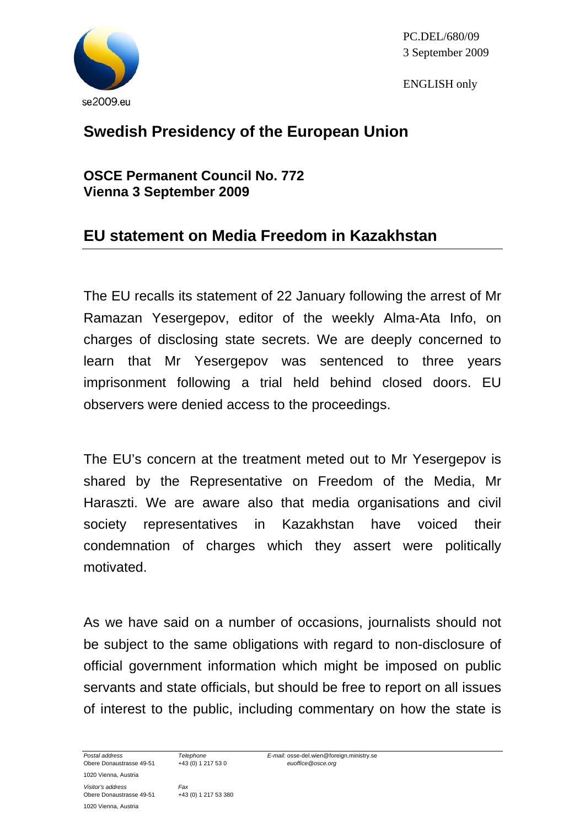

PC.DEL/680/09 3 September 2009

ENGLISH only

## **Swedish Presidency of the European Union**

**OSCE Permanent Council No. 772 Vienna 3 September 2009** 

## **EU statement on Media Freedom in Kazakhstan**

The EU recalls its statement of 22 January following the arrest of Mr Ramazan Yesergepov, editor of the weekly Alma-Ata Info, on charges of disclosing state secrets. We are deeply concerned to learn that Mr Yesergepov was sentenced to three years imprisonment following a trial held behind closed doors. EU observers were denied access to the proceedings.

The EU's concern at the treatment meted out to Mr Yesergepov is shared by the Representative on Freedom of the Media, Mr Haraszti. We are aware also that media organisations and civil society representatives in Kazakhstan have voiced their condemnation of charges which they assert were politically motivated.

As we have said on a number of occasions, journalists should not be subject to the same obligations with regard to non-disclosure of official government information which might be imposed on public servants and state officials, but should be free to report on all issues of interest to the public, including commentary on how the state is